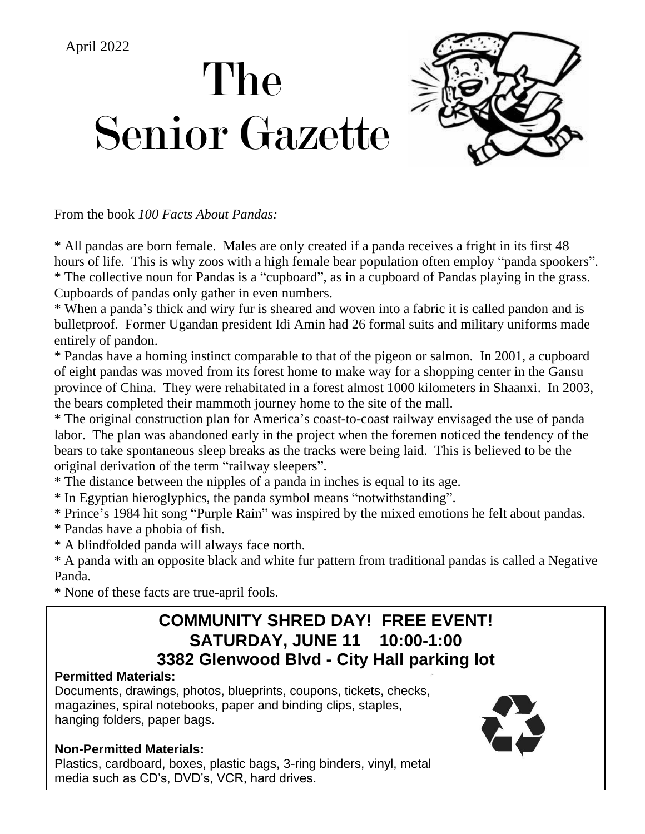# The Senior Gazette April 2022



From the book *100 Facts About Pandas:*

\* All pandas are born female. Males are only created if a panda receives a fright in its first 48 hours of life. This is why zoos with a high female bear population often employ "panda spookers". \* The collective noun for Pandas is a "cupboard", as in a cupboard of Pandas playing in the grass. Cupboards of pandas only gather in even numbers.

\* When a panda's thick and wiry fur is sheared and woven into a fabric it is called pandon and is bulletproof. Former Ugandan president Idi Amin had 26 formal suits and military uniforms made entirely of pandon.

\* Pandas have a homing instinct comparable to that of the pigeon or salmon. In 2001, a cupboard of eight pandas was moved from its forest home to make way for a shopping center in the Gansu province of China. They were rehabitated in a forest almost 1000 kilometers in Shaanxi. In 2003, the bears completed their mammoth journey home to the site of the mall.

\* The original construction plan for America's coast-to-coast railway envisaged the use of panda labor. The plan was abandoned early in the project when the foremen noticed the tendency of the bears to take spontaneous sleep breaks as the tracks were being laid. This is believed to be the original derivation of the term "railway sleepers".

\* The distance between the nipples of a panda in inches is equal to its age.

\* In Egyptian hieroglyphics, the panda symbol means "notwithstanding".

\* Prince's 1984 hit song "Purple Rain" was inspired by the mixed emotions he felt about pandas.

- \* Pandas have a phobia of fish.
- \* A blindfolded panda will always face north.

\* A panda with an opposite black and white fur pattern from traditional pandas is called a Negative Panda.

\* None of these facts are true-april fools.

### **COMMUNITY SHRED DAY! FREE EVENT! SATURDAY, JUNE 11 10:00-1:00 3382 Glenwood Blvd - City Hall parking lot**

#### **Permitted Materials:**

Documents, drawings, photos, blueprints, coupons, tickets, checks, magazines, spiral notebooks, paper and binding clips, staples, hanging folders, paper bags.

#### **Non-Permitted Materials:**

Plastics, cardboard, boxes, plastic bags, 3-ring binders, vinyl, metal, media such as CD's, DVD's, VCR, hard drives.